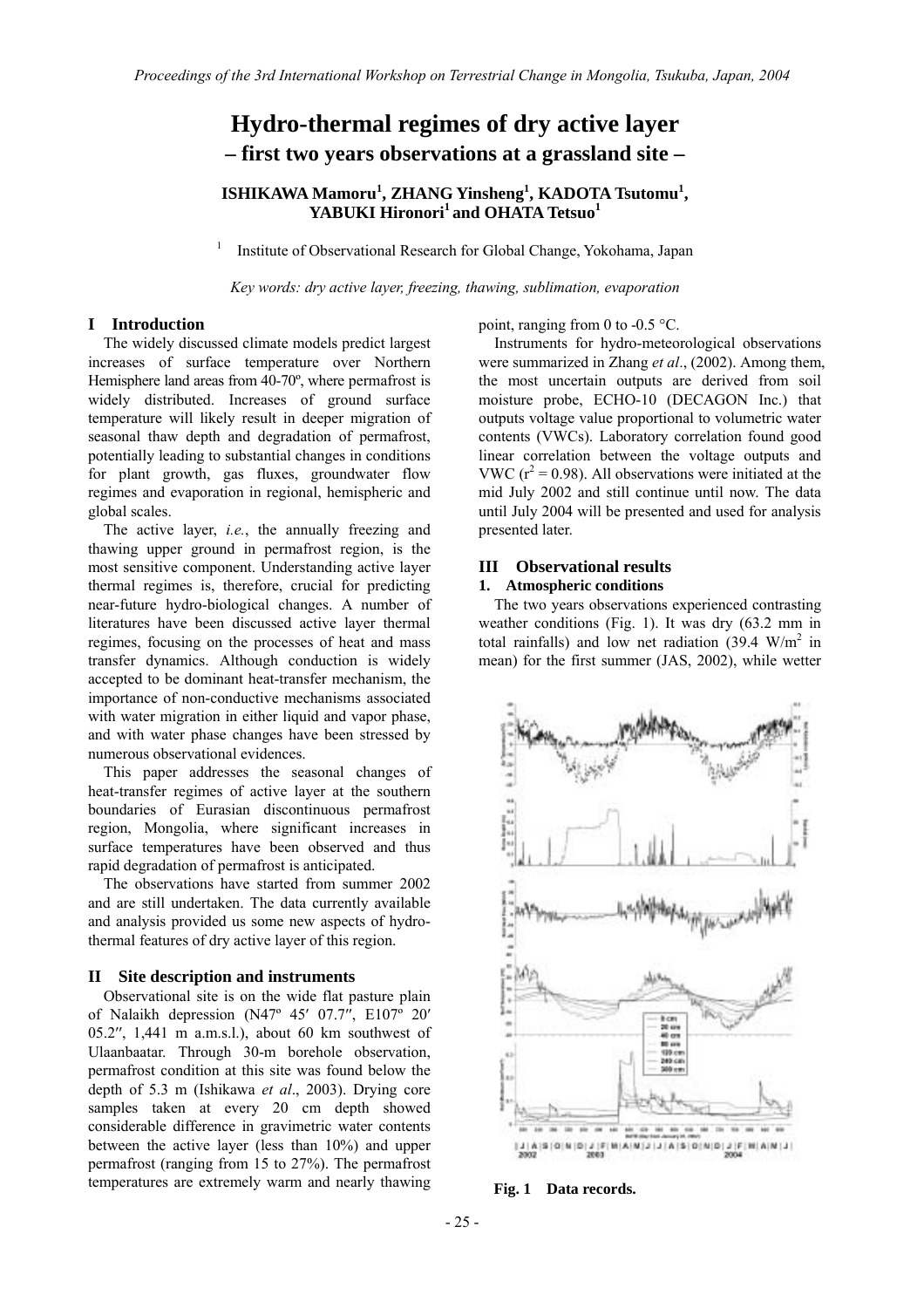# **Hydro-thermal regimes of dry active layer – first two years observations at a grassland site –**

## **ISHIKAWA Mamoru<sup>1</sup> , ZHANG Yinsheng<sup>1</sup> , KADOTA Tsutomu<sup>1</sup> ,**  YABUKI Hironori<sup>1</sup> and OHATA Tetsuo<sup>1</sup>

1 Institute of Observational Research for Global Change, Yokohama, Japan

*Key words: dry active layer, freezing, thawing, sublimation, evaporation* 

## **I Introduction**

The widely discussed climate models predict largest increases of surface temperature over Northern Hemisphere land areas from 40-70º, where permafrost is widely distributed. Increases of ground surface temperature will likely result in deeper migration of seasonal thaw depth and degradation of permafrost, potentially leading to substantial changes in conditions for plant growth, gas fluxes, groundwater flow regimes and evaporation in regional, hemispheric and global scales.

The active layer, *i.e.*, the annually freezing and thawing upper ground in permafrost region, is the most sensitive component. Understanding active layer thermal regimes is, therefore, crucial for predicting near-future hydro-biological changes. A number of literatures have been discussed active layer thermal regimes, focusing on the processes of heat and mass transfer dynamics. Although conduction is widely accepted to be dominant heat-transfer mechanism, the importance of non-conductive mechanisms associated with water migration in either liquid and vapor phase, and with water phase changes have been stressed by numerous observational evidences.

This paper addresses the seasonal changes of heat-transfer regimes of active layer at the southern boundaries of Eurasian discontinuous permafrost region, Mongolia, where significant increases in surface temperatures have been observed and thus rapid degradation of permafrost is anticipated.

The observations have started from summer 2002 and are still undertaken. The data currently available and analysis provided us some new aspects of hydrothermal features of dry active layer of this region.

#### **II Site description and instruments**

 Observational site is on the wide flat pasture plain of Nalaikh depression (N47º 45′ 07.7′′, E107º 20′ 05.2′′, 1,441 m a.m.s.l.), about 60 km southwest of Ulaanbaatar. Through 30-m borehole observation, permafrost condition at this site was found below the depth of 5.3 m (Ishikawa *et al*., 2003). Drying core samples taken at every 20 cm depth showed considerable difference in gravimetric water contents between the active layer (less than 10%) and upper permafrost (ranging from 15 to 27%). The permafrost temperatures are extremely warm and nearly thawing

point, ranging from 0 to -0.5 °C.

 Instruments for hydro-meteorological observations were summarized in Zhang *et al*., (2002). Among them, the most uncertain outputs are derived from soil moisture probe, ECHO-10 (DECAGON Inc.) that outputs voltage value proportional to volumetric water contents (VWCs). Laboratory correlation found good linear correlation between the voltage outputs and VWC ( $r^2$  = 0.98). All observations were initiated at the mid July 2002 and still continue until now. The data until July 2004 will be presented and used for analysis presented later.

#### **III Observational results**

## **1. Atmospheric conditions**

 The two years observations experienced contrasting weather conditions (Fig. 1). It was dry (63.2 mm in total rainfalls) and low net radiation  $(39.4 \text{ W/m}^2)$  in mean) for the first summer (JAS, 2002), while wetter



**Fig. 1 Data records.**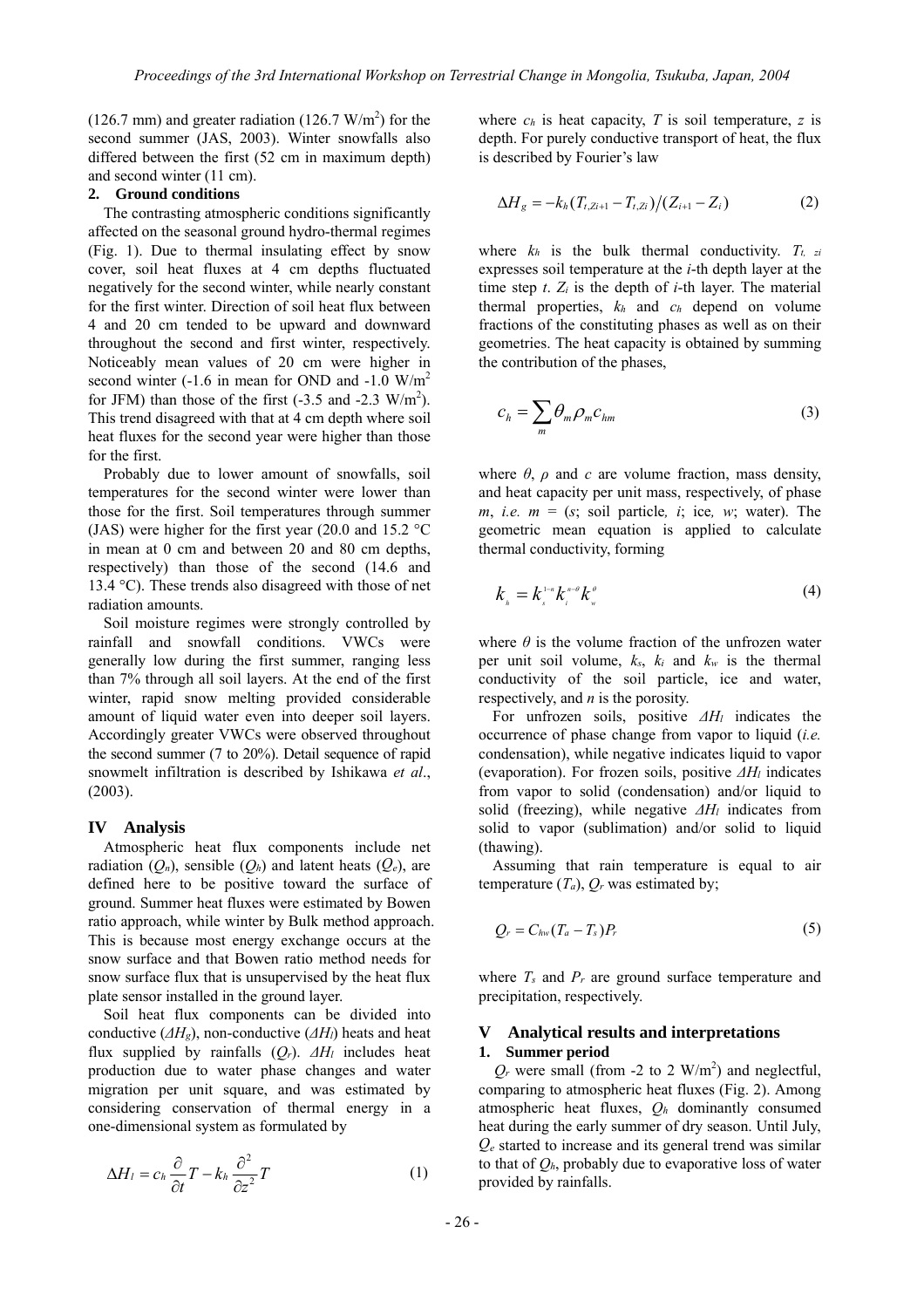(126.7 mm) and greater radiation (126.7 W/m<sup>2</sup>) for the second summer (JAS, 2003). Winter snowfalls also differed between the first (52 cm in maximum depth) and second winter (11 cm).

## **2. Ground conditions**

The contrasting atmospheric conditions significantly affected on the seasonal ground hydro-thermal regimes (Fig. 1). Due to thermal insulating effect by snow cover, soil heat fluxes at 4 cm depths fluctuated negatively for the second winter, while nearly constant for the first winter. Direction of soil heat flux between 4 and 20 cm tended to be upward and downward throughout the second and first winter, respectively. Noticeably mean values of 20 cm were higher in second winter  $(-1.6$  in mean for OND and  $-1.0$  W/m<sup>2</sup> for JFM) than those of the first  $(-3.5 \text{ and } -2.3 \text{ W/m}^2)$ . This trend disagreed with that at 4 cm depth where soil heat fluxes for the second year were higher than those for the first.

Probably due to lower amount of snowfalls, soil temperatures for the second winter were lower than those for the first. Soil temperatures through summer (JAS) were higher for the first year (20.0 and 15.2 °C in mean at 0 cm and between 20 and 80 cm depths, respectively) than those of the second (14.6 and 13.4 °C). These trends also disagreed with those of net radiation amounts.

Soil moisture regimes were strongly controlled by rainfall and snowfall conditions. VWCs were generally low during the first summer, ranging less than 7% through all soil layers. At the end of the first winter, rapid snow melting provided considerable amount of liquid water even into deeper soil layers. Accordingly greater VWCs were observed throughout the second summer (7 to 20%). Detail sequence of rapid snowmelt infiltration is described by Ishikawa *et al*., (2003).

#### **IV Analysis**

Atmospheric heat flux components include net radiation  $(Q_n)$ , sensible  $(Q_h)$  and latent heats  $(Q_e)$ , are defined here to be positive toward the surface of ground. Summer heat fluxes were estimated by Bowen ratio approach, while winter by Bulk method approach. This is because most energy exchange occurs at the snow surface and that Bowen ratio method needs for snow surface flux that is unsupervised by the heat flux plate sensor installed in the ground layer.

Soil heat flux components can be divided into conductive ( $\Delta H_g$ ), non-conductive ( $\Delta H_l$ ) heats and heat flux supplied by rainfalls (*Qr*). *∆Hl* includes heat production due to water phase changes and water migration per unit square, and was estimated by considering conservation of thermal energy in a one-dimensional system as formulated by

$$
\Delta H_l = c_h \frac{\partial}{\partial t} T - k_h \frac{\partial^2}{\partial z^2} T \tag{1}
$$

where  $c_h$  is heat capacity,  $T$  is soil temperature,  $z$  is depth. For purely conductive transport of heat, the flux is described by Fourier's law

$$
\Delta H_g = -k_h (T_{t, Zi+1} - T_{t, Zi}) / (Z_{i+1} - Z_i)
$$
 (2)

where  $k_h$  is the bulk thermal conductivity.  $T_{t,zi}$ expresses soil temperature at the *i*-th depth layer at the time step *t*. *Zi* is the depth of *i*-th layer. The material thermal properties, *kh* and *ch* depend on volume fractions of the constituting phases as well as on their geometries. The heat capacity is obtained by summing the contribution of the phases,

$$
c_h = \sum_m \theta_m \rho_m c_{hm} \tag{3}
$$

where  $\theta$ ,  $\rho$  and  $c$  are volume fraction, mass density, and heat capacity per unit mass, respectively, of phase *m*, *i.e.*  $m = (s; \text{ soil particle}, i; \text{ ice}, w; \text{ water})$ . The geometric mean equation is applied to calculate thermal conductivity, forming

$$
k_{\scriptscriptstyle h} = k_{\scriptscriptstyle s}^{\scriptscriptstyle 1-n} k_{\scriptscriptstyle \mu}^{\scriptscriptstyle n-\theta} k_{\scriptscriptstyle w}^{\scriptscriptstyle \theta} \tag{4}
$$

where  $\theta$  is the volume fraction of the unfrozen water per unit soil volume, *ks*, *ki* and *kw* is the thermal conductivity of the soil particle, ice and water, respectively, and *n* is the porosity.

For unfrozen soils, positive *∆Hl* indicates the occurrence of phase change from vapor to liquid (*i.e.* condensation), while negative indicates liquid to vapor (evaporation). For frozen soils, positive  $\Delta H_l$  indicates from vapor to solid (condensation) and/or liquid to solid (freezing), while negative  $\Delta H_l$  indicates from solid to vapor (sublimation) and/or solid to liquid (thawing).

Assuming that rain temperature is equal to air temperature  $(T_a)$ ,  $Q_r$  was estimated by;

$$
Q_r = C_{hw}(T_a - T_s)P_r
$$
\n<sup>(5)</sup>

where  $T_s$  and  $P_r$  are ground surface temperature and precipitation, respectively.

### **V Analytical results and interpretations 1. Summer period**

 $Q_r$  were small (from -2 to 2 W/m<sup>2</sup>) and neglectful, comparing to atmospheric heat fluxes (Fig. 2). Among atmospheric heat fluxes, *Qh* dominantly consumed heat during the early summer of dry season. Until July, *Qe* started to increase and its general trend was similar to that of  $Q_h$ , probably due to evaporative loss of water provided by rainfalls.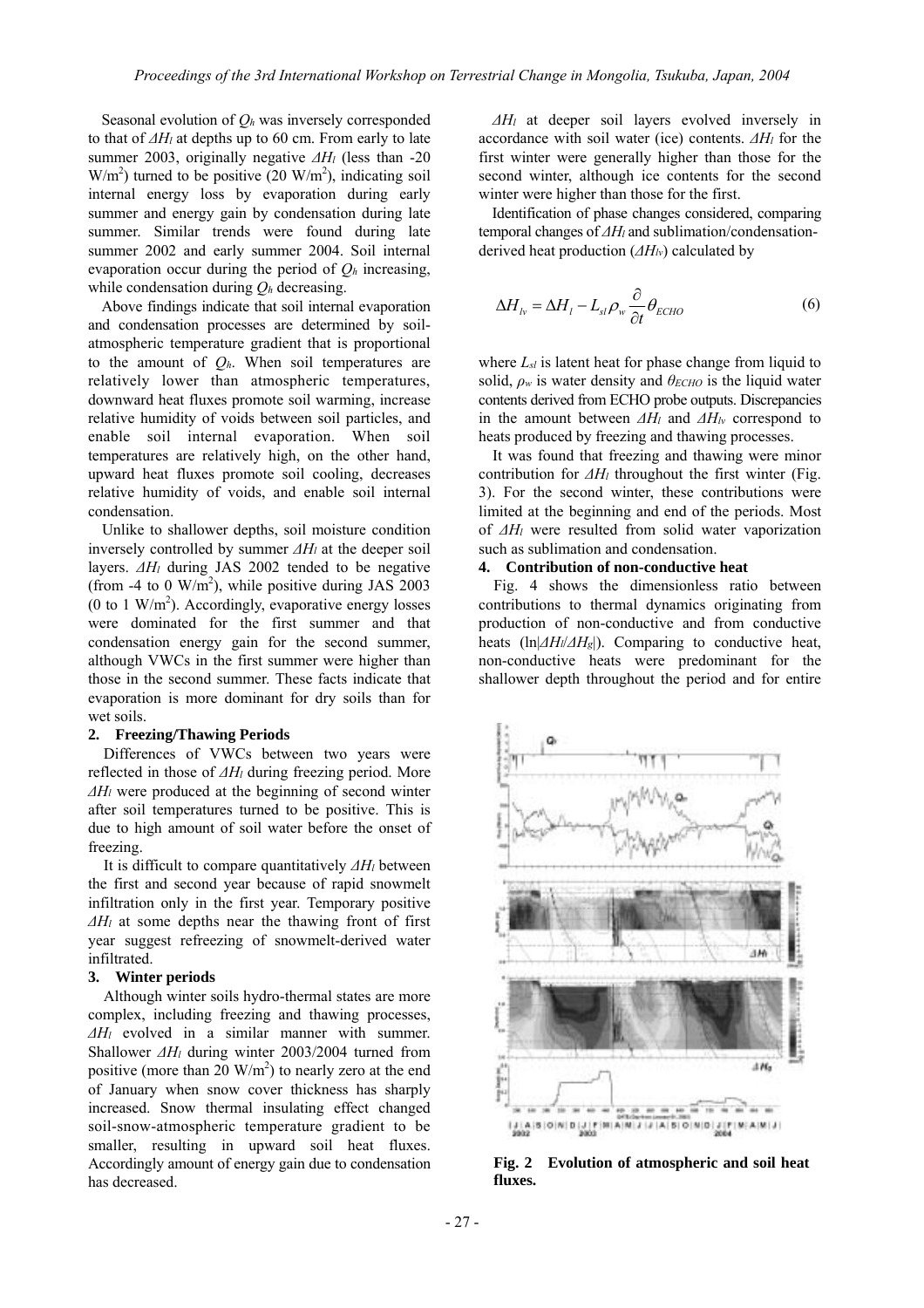Seasonal evolution of *Qh* was inversely corresponded to that of *∆Hl* at depths up to 60 cm. From early to late summer 2003, originally negative  $\Delta H$  (less than -20  $W/m<sup>2</sup>$ ) turned to be positive (20 W/m<sup>2</sup>), indicating soil internal energy loss by evaporation during early summer and energy gain by condensation during late summer. Similar trends were found during late summer 2002 and early summer 2004. Soil internal evaporation occur during the period of *Qh* increasing, while condensation during *Qh* decreasing.

Above findings indicate that soil internal evaporation and condensation processes are determined by soilatmospheric temperature gradient that is proportional to the amount of *Qh*. When soil temperatures are relatively lower than atmospheric temperatures, downward heat fluxes promote soil warming, increase relative humidity of voids between soil particles, and enable soil internal evaporation. When soil temperatures are relatively high, on the other hand, upward heat fluxes promote soil cooling, decreases relative humidity of voids, and enable soil internal condensation.

Unlike to shallower depths, soil moisture condition inversely controlled by summer  $\Delta H_l$  at the deeper soil layers. *∆Hl* during JAS 2002 tended to be negative (from -4 to 0  $\text{W/m}^2$ ), while positive during JAS 2003 (0 to 1 W/m<sup>2</sup>). Accordingly, evaporative energy losses were dominated for the first summer and that condensation energy gain for the second summer, although VWCs in the first summer were higher than those in the second summer. These facts indicate that evaporation is more dominant for dry soils than for wet soils.

#### **2. Freezing/Thawing Periods**

Differences of VWCs between two years were reflected in those of *∆Hl* during freezing period. More *∆Hl* were produced at the beginning of second winter after soil temperatures turned to be positive. This is due to high amount of soil water before the onset of freezing.

It is difficult to compare quantitatively *∆Hl* between the first and second year because of rapid snowmelt infiltration only in the first year. Temporary positive *∆Hl* at some depths near the thawing front of first year suggest refreezing of snowmelt-derived water infiltrated.

#### **3. Winter periods**

 Although winter soils hydro-thermal states are more complex, including freezing and thawing processes, *∆Hl* evolved in a similar manner with summer. Shallower *∆Hl* during winter 2003/2004 turned from positive (more than 20  $\text{W/m}^2$ ) to nearly zero at the end of January when snow cover thickness has sharply increased. Snow thermal insulating effect changed soil-snow-atmospheric temperature gradient to be smaller, resulting in upward soil heat fluxes. Accordingly amount of energy gain due to condensation has decreased.

*∆Hl* at deeper soil layers evolved inversely in accordance with soil water (ice) contents.  $\Delta H_l$  for the first winter were generally higher than those for the second winter, although ice contents for the second winter were higher than those for the first.

Identification of phase changes considered, comparing temporal changes of  $\Delta H$  and sublimation/condensationderived heat production  $(\Delta H_{lv})$  calculated by

$$
\Delta H_{lv} = \Delta H_l - L_{sl} \rho_w \frac{\partial}{\partial t} \theta_{ECHO}
$$
 (6)

where  $L_{sl}$  is latent heat for phase change from liquid to solid,  $\rho$ <sup>*w*</sup> is water density and  $\theta$ *ECHO* is the liquid water contents derived from ECHO probe outputs. Discrepancies in the amount between *∆Hl* and *∆Hlv* correspond to heats produced by freezing and thawing processes.

It was found that freezing and thawing were minor contribution for  $\Delta H$  throughout the first winter (Fig. 3). For the second winter, these contributions were limited at the beginning and end of the periods. Most of *∆Hl* were resulted from solid water vaporization such as sublimation and condensation.

## **4. Contribution of non-conductive heat**

Fig. 4 shows the dimensionless ratio between contributions to thermal dynamics originating from production of non-conductive and from conductive heats (ln|*∆Hl*/*∆Hg*|). Comparing to conductive heat, non-conductive heats were predominant for the shallower depth throughout the period and for entire



**Fig. 2 Evolution of atmospheric and soil heat fluxes.**